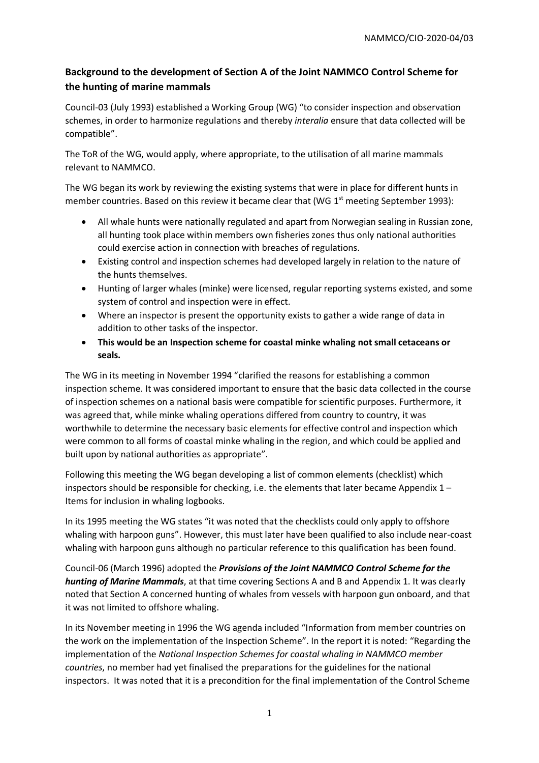## **Background to the development of Section A of the Joint NAMMCO Control Scheme for the hunting of marine mammals**

Council-03 (July 1993) established a Working Group (WG) "to consider inspection and observation schemes, in order to harmonize regulations and thereby *interalia* ensure that data collected will be compatible".

The ToR of the WG, would apply, where appropriate, to the utilisation of all marine mammals relevant to NAMMCO.

The WG began its work by reviewing the existing systems that were in place for different hunts in member countries. Based on this review it became clear that (WG  $1<sup>st</sup>$  meeting September 1993):

- All whale hunts were nationally regulated and apart from Norwegian sealing in Russian zone, all hunting took place within members own fisheries zones thus only national authorities could exercise action in connection with breaches of regulations.
- Existing control and inspection schemes had developed largely in relation to the nature of the hunts themselves.
- Hunting of larger whales (minke) were licensed, regular reporting systems existed, and some system of control and inspection were in effect.
- Where an inspector is present the opportunity exists to gather a wide range of data in addition to other tasks of the inspector.
- **This would be an Inspection scheme for coastal minke whaling not small cetaceans or seals.**

The WG in its meeting in November 1994 "clarified the reasons for establishing a common inspection scheme. It was considered important to ensure that the basic data collected in the course of inspection schemes on a national basis were compatible for scientific purposes. Furthermore, it was agreed that, while minke whaling operations differed from country to country, it was worthwhile to determine the necessary basic elements for effective control and inspection which were common to all forms of coastal minke whaling in the region, and which could be applied and built upon by national authorities as appropriate".

Following this meeting the WG began developing a list of common elements (checklist) which inspectors should be responsible for checking, i.e. the elements that later became Appendix  $1 -$ Items for inclusion in whaling logbooks.

In its 1995 meeting the WG states "it was noted that the checklists could only apply to offshore whaling with harpoon guns". However, this must later have been qualified to also include near-coast whaling with harpoon guns although no particular reference to this qualification has been found.

Council-06 (March 1996) adopted the *Provisions of the Joint NAMMCO Control Scheme for the hunting of Marine Mammals*, at that time covering Sections A and B and Appendix 1. It was clearly noted that Section A concerned hunting of whales from vessels with harpoon gun onboard, and that it was not limited to offshore whaling.

In its November meeting in 1996 the WG agenda included "Information from member countries on the work on the implementation of the Inspection Scheme". In the report it is noted: "Regarding the implementation of the *National Inspection Schemes for coastal whaling in NAMMCO member countries*, no member had yet finalised the preparations for the guidelines for the national inspectors. It was noted that it is a precondition for the final implementation of the Control Scheme